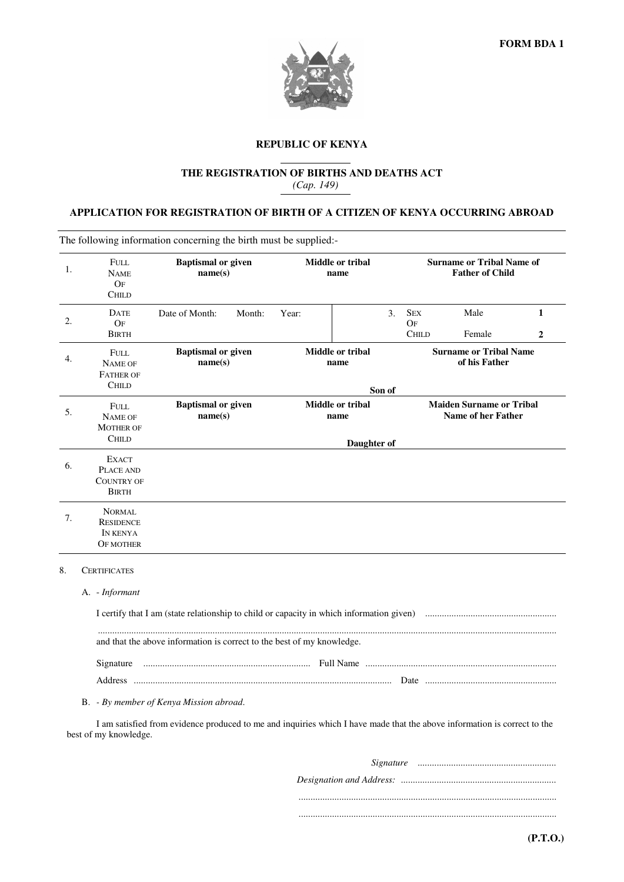

# **REPUBLIC OF KENYA**

## **THE REGISTRATION OF BIRTHS AND DEATHS ACT**  *(Cap. 149)*

## **APPLICATION FOR REGISTRATION OF BIRTH OF A CITIZEN OF KENYA OCCURRING ABROAD**

The following information concerning the birth must be supplied:-

| 1. | FULL.<br><b>NAME</b><br>OF<br><b>CHILD</b>                     | <b>Baptismal</b> or given<br>name(s) |        | <b>Middle or tribal</b><br>name         |                          |        | <b>Surname or Tribal Name of</b><br><b>Father of Child</b>   |                |                     |  |
|----|----------------------------------------------------------------|--------------------------------------|--------|-----------------------------------------|--------------------------|--------|--------------------------------------------------------------|----------------|---------------------|--|
| 2. | <b>DATE</b><br>OF<br><b>BIRTH</b>                              | Date of Month:                       | Month: | Year:                                   |                          | 3.     | <b>SEX</b><br>OF<br><b>CHILD</b>                             | Male<br>Female | 1<br>$\overline{2}$ |  |
| 4. | FULL.<br><b>NAME OF</b><br><b>FATHER OF</b><br><b>CHILD</b>    | <b>Baptismal or given</b><br>name(s) |        |                                         | Middle or tribal<br>name | Son of | <b>Surname or Tribal Name</b><br>of his Father               |                |                     |  |
| 5. | <b>FULL</b><br>NAME OF<br><b>MOTHER OF</b><br><b>CHILD</b>     | <b>Baptismal or given</b><br>name(s) |        | Middle or tribal<br>name<br>Daughter of |                          |        | <b>Maiden Surname or Tribal</b><br><b>Name of her Father</b> |                |                     |  |
| 6. | <b>EXACT</b><br>PLACE AND<br><b>COUNTRY OF</b><br><b>BIRTH</b> |                                      |        |                                         |                          |        |                                                              |                |                     |  |
| 7. | NORMAL<br><b>RESIDENCE</b><br>IN KENYA<br><b>OF MOTHER</b>     |                                      |        |                                         |                          |        |                                                              |                |                     |  |

### 8. CERTIFICATES

### A. - *Informant*

| and that the above information is correct to the best of my knowledge. |  |  |  |  |  |
|------------------------------------------------------------------------|--|--|--|--|--|
|                                                                        |  |  |  |  |  |
|                                                                        |  |  |  |  |  |

### B. *- By member of Kenya Mission abroad*.

 I am satisfied from evidence produced to me and inquiries which I have made that the above information is correct to the best of my knowledge.